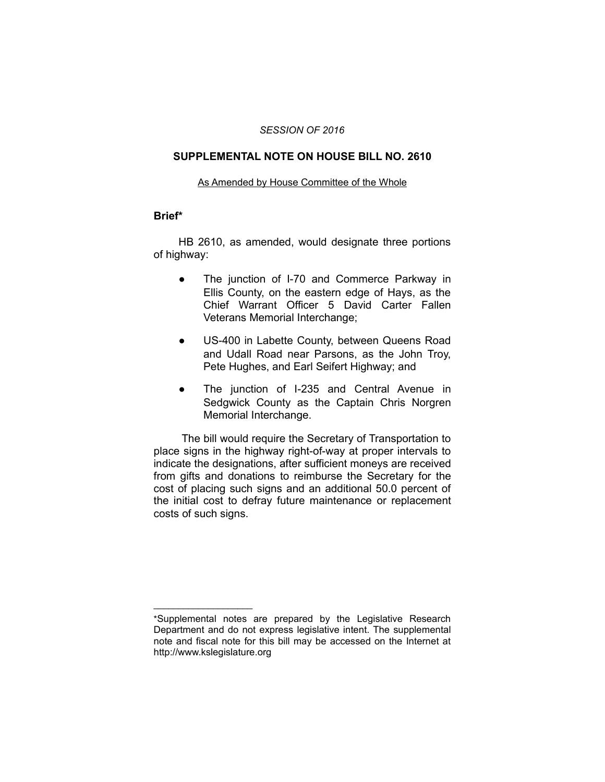#### *SESSION OF 2016*

## **SUPPLEMENTAL NOTE ON HOUSE BILL NO. 2610**

#### As Amended by House Committee of the Whole

## **Brief\***

HB 2610, as amended, would designate three portions of highway:

- The junction of I-70 and Commerce Parkway in Ellis County, on the eastern edge of Hays, as the Chief Warrant Officer 5 David Carter Fallen Veterans Memorial Interchange;
- US-400 in Labette County, between Queens Road and Udall Road near Parsons, as the John Troy, Pete Hughes, and Earl Seifert Highway; and
- The junction of I-235 and Central Avenue in Sedgwick County as the Captain Chris Norgren Memorial Interchange.

 The bill would require the Secretary of Transportation to place signs in the highway right-of-way at proper intervals to indicate the designations, after sufficient moneys are received from gifts and donations to reimburse the Secretary for the cost of placing such signs and an additional 50.0 percent of the initial cost to defray future maintenance or replacement costs of such signs.

 $\overline{\phantom{a}}$  , where  $\overline{\phantom{a}}$  , where  $\overline{\phantom{a}}$ 

<sup>\*</sup>Supplemental notes are prepared by the Legislative Research Department and do not express legislative intent. The supplemental note and fiscal note for this bill may be accessed on the Internet at http://www.kslegislature.org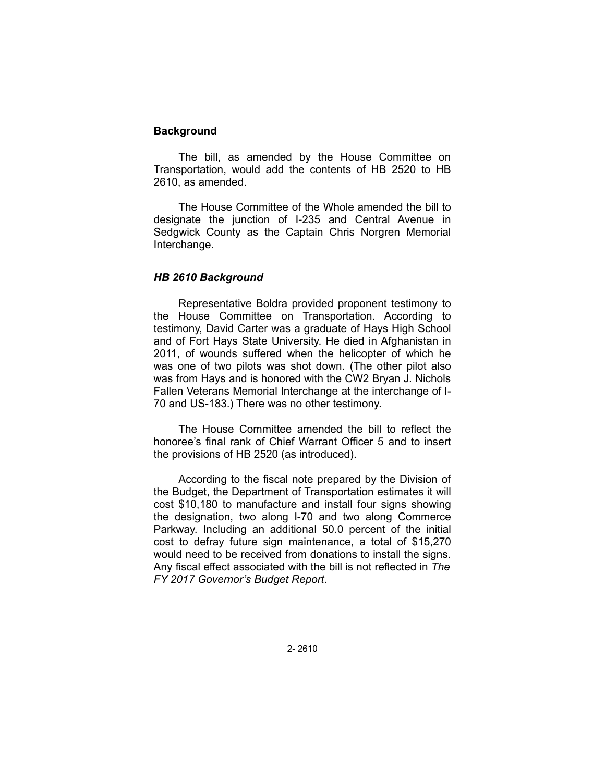# **Background**

The bill, as amended by the House Committee on Transportation, would add the contents of HB 2520 to HB 2610, as amended.

The House Committee of the Whole amended the bill to designate the junction of I-235 and Central Avenue in Sedgwick County as the Captain Chris Norgren Memorial Interchange.

## *HB 2610 Background*

Representative Boldra provided proponent testimony to the House Committee on Transportation. According to testimony, David Carter was a graduate of Hays High School and of Fort Hays State University. He died in Afghanistan in 2011, of wounds suffered when the helicopter of which he was one of two pilots was shot down. (The other pilot also was from Hays and is honored with the CW2 Bryan J. Nichols Fallen Veterans Memorial Interchange at the interchange of I-70 and US-183.) There was no other testimony.

The House Committee amended the bill to reflect the honoree's final rank of Chief Warrant Officer 5 and to insert the provisions of HB 2520 (as introduced).

According to the fiscal note prepared by the Division of the Budget, the Department of Transportation estimates it will cost \$10,180 to manufacture and install four signs showing the designation, two along I-70 and two along Commerce Parkway. Including an additional 50.0 percent of the initial cost to defray future sign maintenance, a total of \$15,270 would need to be received from donations to install the signs. Any fiscal effect associated with the bill is not reflected in *The FY 2017 Governor's Budget Report*.